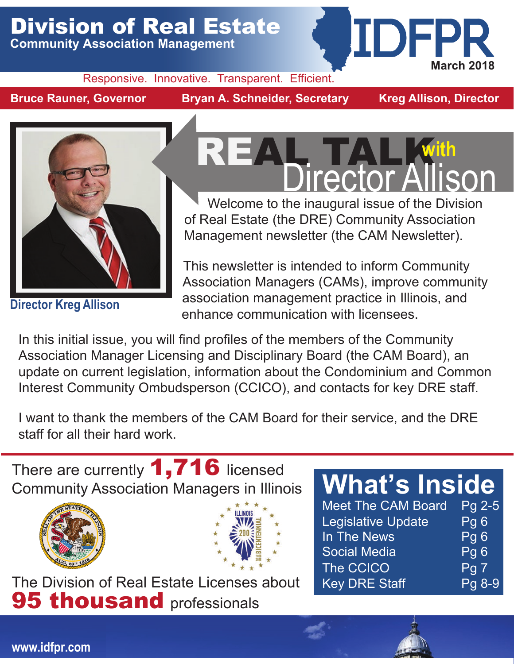## Division of Real Estate

**Community Association Management**

#### Responsive. Innovative. Transparent. Efficient.

**Bruce Rauner, Governor Bryan A. Schneider, Secretary Kreg Allison, Director**

IDFPR

**March 2018** 



**Director Kreg Allison**

# REAL TALK With Director Allison

Welcome to the inaugural issue of the Division of Real Estate (the DRE) Community Association Management newsletter (the CAM Newsletter).

This newsletter is intended to inform Community Association Managers (CAMs), improve community association management practice in Illinois, and enhance communication with licensees.

In this initial issue, you will find profiles of the members of the Community Association Manager Licensing and Disciplinary Board (the CAM Board), an update on current legislation, information about the Condominium and Common Interest Community Ombudsperson (CCICO), and contacts for key DRE staff.

I want to thank the members of the CAM Board for their service, and the DRE staff for all their hard work.

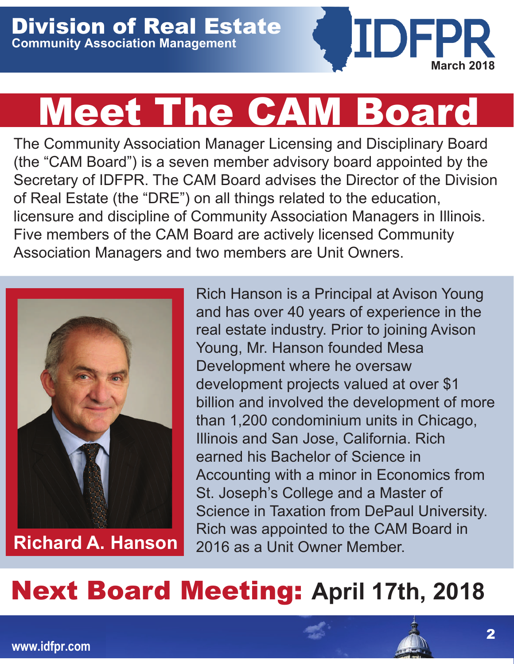

# Meet The CAM Board

The Community Association Manager Licensing and Disciplinary Board (the "CAM Board") is a seven member advisory board appointed by the Secretary of IDFPR. The CAM Board advises the Director of the Division of Real Estate (the "DRE") on all things related to the education, licensure and discipline of Community Association Managers in Illinois. Five members of the CAM Board are actively licensed Community Association Managers and two members are Unit Owners.



**Richard A. Hanson**

Rich Hanson is a Principal at Avison Young and has over 40 years of experience in the real estate industry. Prior to joining Avison Young, Mr. Hanson founded Mesa Development where he oversaw development projects valued at over \$1 billion and involved the development of more than 1,200 condominium units in Chicago, Illinois and San Jose, California. Rich earned his Bachelor of Science in Accounting with a minor in Economics from St. Joseph's College and a Master of Science in Taxation from DePaul University. Rich was appointed to the CAM Board in 2016 as a Unit Owner Member.

## Next Board Meeting: **April 17th, 2018**

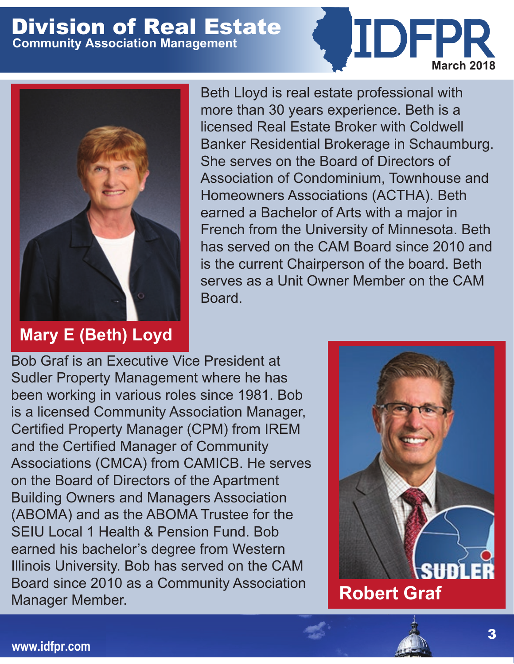

#### **Mary E (Beth) Loyd**

Beth Lloyd is real estate professional with more than 30 years experience. Beth is a licensed Real Estate Broker with Coldwell Banker Residential Brokerage in Schaumburg. She serves on the Board of Directors of Association of Condominium, Townhouse and Homeowners Associations (ACTHA). Beth earned a Bachelor of Arts with a major in French from the University of Minnesota. Beth has served on the CAM Board since 2010 and is the current Chairperson of the board. Beth serves as a Unit Owner Member on the CAM Board.

Bob Graf is an Executive Vice President at Sudler Property Management where he has been working in various roles since 1981. Bob is a licensed Community Association Manager, Certified Property Manager (CPM) from IREM and the Certified Manager of Community Associations (CMCA) from CAMICB. He serves on the Board of Directors of the Apartment Building Owners and Managers Association (ABOMA) and as the ABOMA Trustee for the SEIU Local 1 Health & Pension Fund. Bob earned his bachelor's degree from Western Illinois University. Bob has served on the CAM Board since 2010 as a Community Association Manager Member.



**March 2018** 

**www.idfpr.com**

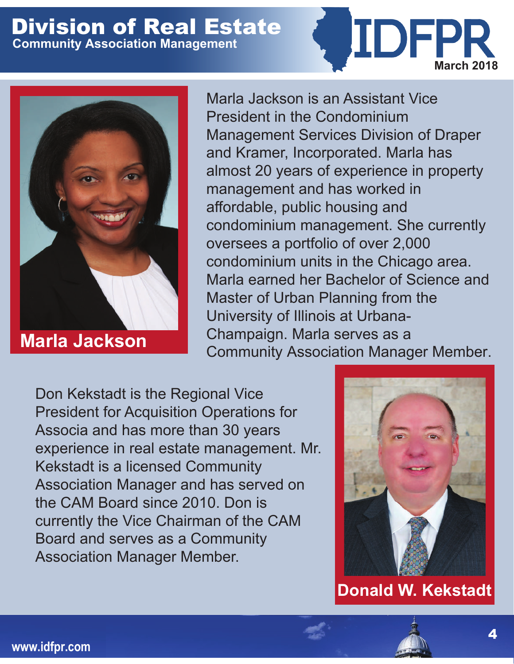



**Marla Jackson**

Marla Jackson is an Assistant Vice President in the Condominium Management Services Division of Draper and Kramer, Incorporated. Marla has almost 20 years of experience in property management and has worked in affordable, public housing and condominium management. She currently oversees a portfolio of over 2,000 condominium units in the Chicago area. Marla earned her Bachelor of Science and Master of Urban Planning from the University of Illinois at Urbana-Champaign. Marla serves as a Community Association Manager Member.

Don Kekstadt is the Regional Vice President for Acquisition Operations for Associa and has more than 30 years experience in real estate management. Mr. Kekstadt is a licensed Community Association Manager and has served on the CAM Board since 2010. Don is currently the Vice Chairman of the CAM Board and serves as a Community Association Manager Member.



**Donald W. Kekstadt**

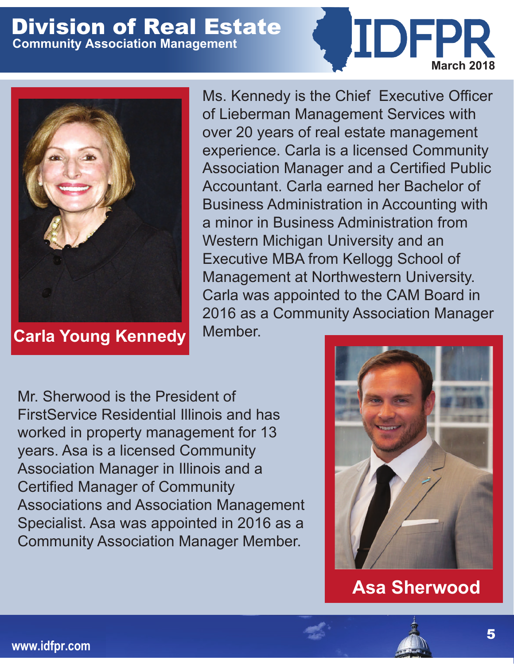

**Carla Young Kennedy**

Ms. Kennedy is the Chief Executive Officer of Lieberman Management Services with over 20 years of real estate management experience. Carla is a licensed Community Association Manager and a Certified Public Accountant. Carla earned her Bachelor of Business Administration in Accounting with a minor in Business Administration from Western Michigan University and an Executive MBA from Kellogg School of Management at Northwestern University. Carla was appointed to the CAM Board in 2016 as a Community Association Manager Member.

Mr. Sherwood is the President of FirstService Residential Illinois and has worked in property management for 13 years. Asa is a licensed Community Association Manager in Illinois and a Certified Manager of Community Associations and Association Management Specialist. Asa was appointed in 2016 as a Community Association Manager Member.



**March 2018** 

**IDFPR** 

**Asa Sherwood**

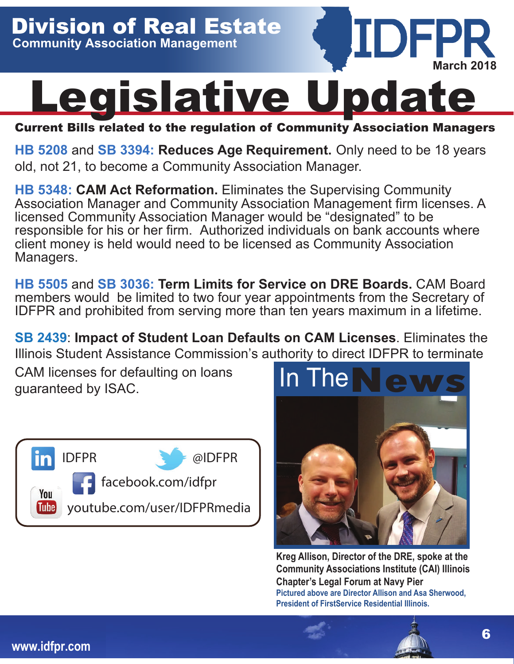

Current Bills related to the regulation of Community Association Managers

**[HB 5208](http://ilga.gov/legislation/BillStatus.asp?DocNum=5208&GAID=14&DocTypeID=HB&LegId=110894&SessionID=91&GA=100)** and **[SB 3394:](http://ilga.gov/legislation/BillStatus.asp?DocNum=3394&GAID=14&DocTypeID=SB&LegId=111338&SessionID=91&GA=100) Reduces Age Requirement.** Only need to be 18 years old, not 21, to become a Community Association Manager.

**[HB 5348:](http://ilga.gov/legislation/BillStatus.asp?DocNum=5348&GAID=14&DocTypeID=HB&LegId=111138&SessionID=91&GA=100) CAM Act Reformation.** Eliminates the Supervising Community Association Manager and Community Association Management firm licenses. A licensed Community Association Manager would be "designated" to be responsible for his or her firm. Authorized individuals on bank accounts where client money is held would need to be licensed as Community Association Managers.

**[HB 5505](http://ilga.gov/legislation/billstatus.asp?DocNum=5505&GAID=14&GA=100&DocTypeID=HB&LegID=111450&SessionID=91)** and **[SB 3036:](http://ilga.gov/legislation/billstatus.asp?DocNum=3036&GAID=14&GA=100&DocTypeID=SB&LegID=110566&SessionID=91) Term Limits for Service on DRE Boards.** CAM Board members would be limited to two four year appointments from the Secretary of IDFPR and prohibited from serving more than ten years maximum in a lifetime.

**[SB 2439](http://ilga.gov/legislation/billstatus.asp?DocNum=2439&GAID=14&GA=100&DocTypeID=SB&LegID=109032&SessionID=91)**: **Impact of Student Loan Defaults on CAM Licenses**. Eliminates the

CAM licenses for defaulting on loans guaranteed by ISAC.





**Kreg Allison, Director of the DRE, spoke at the Community Associations Institute (CAI) Illinois Chapter's Legal Forum at Navy Pier Pictured above are Director Allison and Asa Sherwood, President of FirstService Residential Illinois.**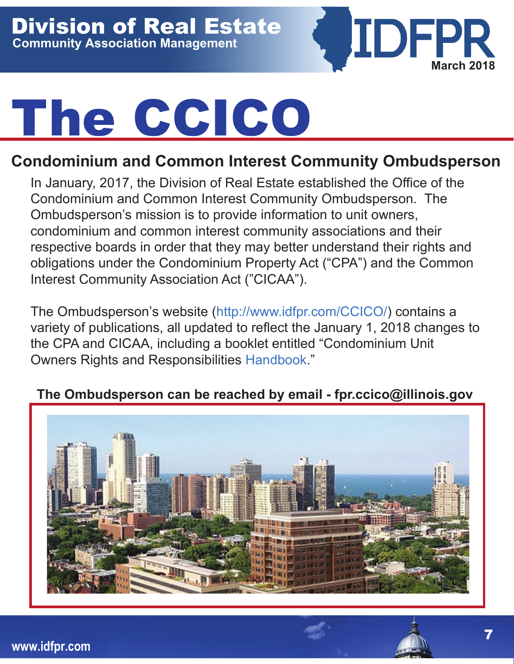

# The CCICO

#### **Condominium and Common Interest Community Ombudsperson**

In January, 2017, the Division of Real Estate established the Office of the Condominium and Common Interest Community Ombudsperson. The Ombudsperson's mission is to provide information to unit owners, condominium and common interest community associations and their respective boards in order that they may better understand their rights and obligations under the Condominium Property Act ("CPA") and the Common Interest Community Association Act ("CICAA").

The Ombudsperson's website (<http://www.idfpr.com/CCICO/>) contains a variety of publications, all updated to reflect the January 1, 2018 changes to the CPA and CICAA, including a booklet entitled "Condominium Unit Owners Rights and Responsibilities [Handbook](https://www.idfpr.com/CCICO/PDFs/Condo%20Rights%20and%20Responsibilities%206.0.pdf)."

#### **The Ombudsperson can be reached by email - fpr.ccico@illinois.gov**

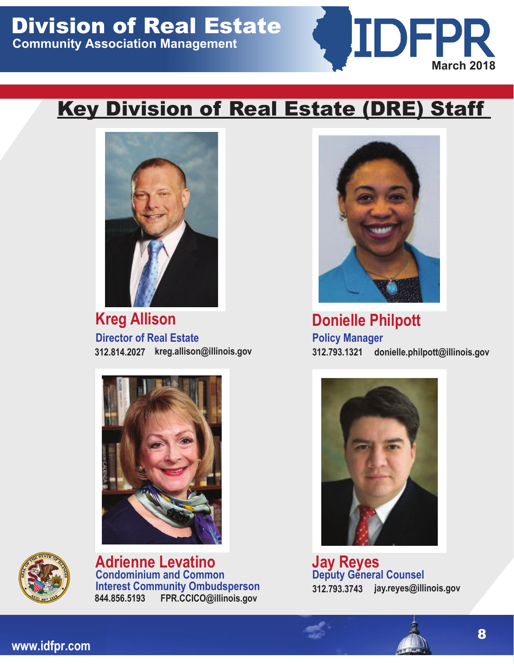

### **Key Division of Real Estate (DRE) Staff**



**Director of Real Estate 312.814.2027 312.793.1321 Kreg Allison**





**Interest Community Ombudsperson Condominium and Common Adrienne Levatino Jay Reyes 844.856.5193 FPR.CCICO@illinois.gov**



**Donielle Philpott kreg.allison@illinois.gov donielle.philpott@illinois.gov Policy Manager**



**Deputy General Counsel 312.793.3743 jay.reyes@illinois.gov**